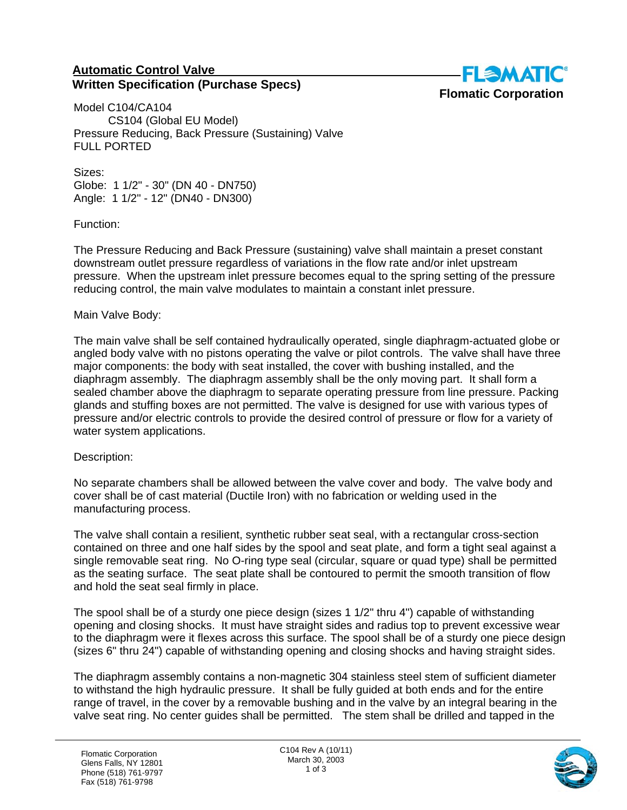## **Automatic Control Valve Written Specification (Purchase Specs)**



Model C104/CA104 CS104 (Global EU Model) Pressure Reducing, Back Pressure (Sustaining) Valve FULL PORTED

Sizes: Globe: 1 1/2" - 30" (DN 40 - DN750) Angle: 1 1/2" - 12" (DN40 - DN300)

Function:

The Pressure Reducing and Back Pressure (sustaining) valve shall maintain a preset constant downstream outlet pressure regardless of variations in the flow rate and/or inlet upstream pressure. When the upstream inlet pressure becomes equal to the spring setting of the pressure reducing control, the main valve modulates to maintain a constant inlet pressure.

## Main Valve Body:

The main valve shall be self contained hydraulically operated, single diaphragm-actuated globe or angled body valve with no pistons operating the valve or pilot controls. The valve shall have three major components: the body with seat installed, the cover with bushing installed, and the diaphragm assembly. The diaphragm assembly shall be the only moving part. It shall form a sealed chamber above the diaphragm to separate operating pressure from line pressure. Packing glands and stuffing boxes are not permitted. The valve is designed for use with various types of pressure and/or electric controls to provide the desired control of pressure or flow for a variety of water system applications.

## Description:

No separate chambers shall be allowed between the valve cover and body. The valve body and cover shall be of cast material (Ductile Iron) with no fabrication or welding used in the manufacturing process.

The valve shall contain a resilient, synthetic rubber seat seal, with a rectangular cross-section contained on three and one half sides by the spool and seat plate, and form a tight seal against a single removable seat ring. No O-ring type seal (circular, square or quad type) shall be permitted as the seating surface. The seat plate shall be contoured to permit the smooth transition of flow and hold the seat seal firmly in place.

The spool shall be of a sturdy one piece design (sizes 1 1/2" thru 4") capable of withstanding opening and closing shocks. It must have straight sides and radius top to prevent excessive wear to the diaphragm were it flexes across this surface. The spool shall be of a sturdy one piece design (sizes 6" thru 24") capable of withstanding opening and closing shocks and having straight sides.

The diaphragm assembly contains a non-magnetic 304 stainless steel stem of sufficient diameter to withstand the high hydraulic pressure. It shall be fully guided at both ends and for the entire range of travel, in the cover by a removable bushing and in the valve by an integral bearing in the valve seat ring. No center guides shall be permitted. The stem shall be drilled and tapped in the

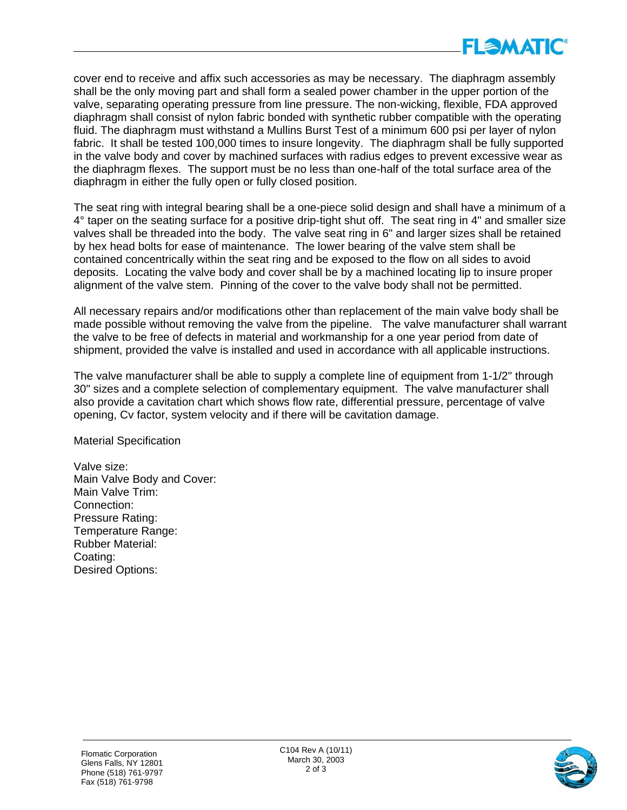

cover end to receive and affix such accessories as may be necessary. The diaphragm assembly shall be the only moving part and shall form a sealed power chamber in the upper portion of the valve, separating operating pressure from line pressure. The non-wicking, flexible, FDA approved diaphragm shall consist of nylon fabric bonded with synthetic rubber compatible with the operating fluid. The diaphragm must withstand a Mullins Burst Test of a minimum 600 psi per layer of nylon fabric. It shall be tested 100,000 times to insure longevity. The diaphragm shall be fully supported in the valve body and cover by machined surfaces with radius edges to prevent excessive wear as the diaphragm flexes. The support must be no less than one-half of the total surface area of the diaphragm in either the fully open or fully closed position.

The seat ring with integral bearing shall be a one-piece solid design and shall have a minimum of a 4° taper on the seating surface for a positive drip-tight shut off. The seat ring in 4" and smaller size valves shall be threaded into the body. The valve seat ring in 6" and larger sizes shall be retained by hex head bolts for ease of maintenance. The lower bearing of the valve stem shall be contained concentrically within the seat ring and be exposed to the flow on all sides to avoid deposits. Locating the valve body and cover shall be by a machined locating lip to insure proper alignment of the valve stem. Pinning of the cover to the valve body shall not be permitted.

All necessary repairs and/or modifications other than replacement of the main valve body shall be made possible without removing the valve from the pipeline. The valve manufacturer shall warrant the valve to be free of defects in material and workmanship for a one year period from date of shipment, provided the valve is installed and used in accordance with all applicable instructions.

The valve manufacturer shall be able to supply a complete line of equipment from 1-1/2" through 30" sizes and a complete selection of complementary equipment. The valve manufacturer shall also provide a cavitation chart which shows flow rate, differential pressure, percentage of valve opening, Cv factor, system velocity and if there will be cavitation damage.

Material Specification

Valve size: Main Valve Body and Cover: Main Valve Trim: Connection: Pressure Rating: Temperature Range: Rubber Material: Coating: Desired Options: